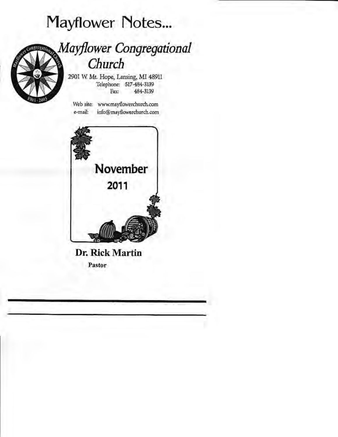# **Mayflower Notes...**



# Mayflower Congregational Church

2901 W. Mt. Hope, Lansing, MI 48911 Telephone: 517-484-3139 484-3139 Fax:

Web site: www.mayflowerchurch.com e-mail: info@mayflowerchurch.com



Pastor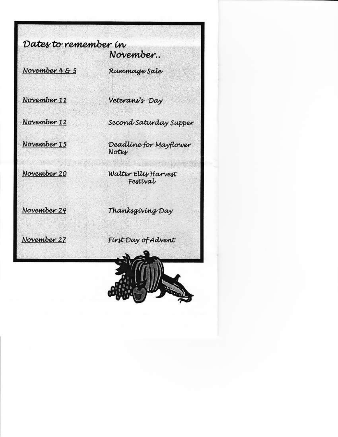Dates to remember in November..

November 4 & 5

Rummage Sale

November 11

Veterans's Day

November 12

November 15

November 20

Deadline for Mayflower Notey

Second Saturday Supper

Walter Ellis Harvest Festival

Thanksgiving Day

November 27

November 24

First Day of Advent

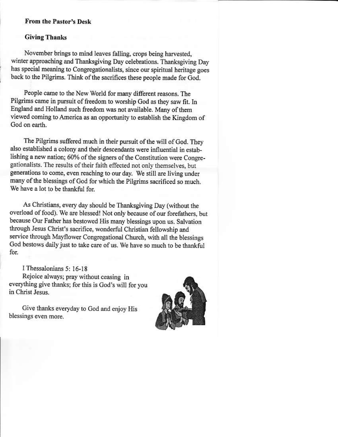#### From the Pastor's Desk

#### **Giving Thanks**

November brings to mind leaves falling, crops being harvested, winter approaching and Thanksgiving Day celebrations. Thanksgiving Day has special meaning to Congregationalists, since our spiritual heritage goes back to the Pilgrims. Think of the sacrifices these people made for God.

People came to the New World for many different reasons. The Pilgrims came in pursuit of freedom to worship God as they saw fit. In England and Holland such freedom was not available. Many of them viewed coming to America as an opportunity to establish the Kingdom of God on earth

The Pilgrims suffered much in their pursuit of the will of God. They also established a colony and their descendants were influential in establishing a new nation; 60% of the signers of the Constitution were Congregationalists. The results of their faith effected not only themselves, but generations to come, even reaching to our day. We still are living under many of the blessings of God for which the Pilgrims sacrificed so much. We have a lot to be thankful for.

As Christians, every day should be Thanksgiving Day (without the overload of food). We are blessed! Not only because of our forefathers, but because Our Father has bestowed His many blessings upon us. Salvation through Jesus Christ's sacrifice, wonderful Christian fellowship and service through Mayflower Congregational Church, with all the blessings God bestows daily just to take care of us. We have so much to be thankful for.

### I Thessalonians 5: 16-18

Rejoice always; pray without ceasing in everything give thanks; for this is God's will for you in Christ Jesus.

Give thanks everyday to God and enjoy His blessings even more.

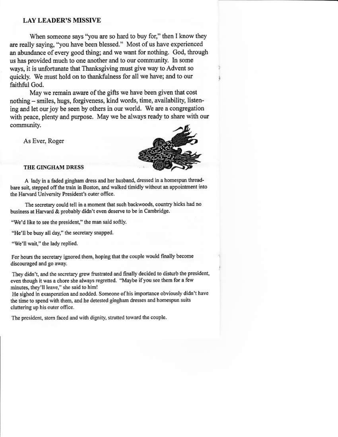## **LAY LEADER'S MISSIVE**

When someone says "you are so hard to buy for," then I know they are really saying, "you have been blessed." Most of us have experienced an abundance of every good thing; and we want for nothing. God, through us has provided much to one another and to our community. In some ways, it is unfortunate that Thanksgiving must give way to Advent so quickly. We must hold on to thankfulness for all we have; and to our faithful God.

May we remain aware of the gifts we have been given that cost nothing - smiles, hugs, forgiveness, kind words, time, availability, listening and let our joy be seen by others in our world. We are a congregation with peace, plenty and purpose. May we be always ready to share with our community.

As Ever, Roger



#### THE GINGHAM DRESS

A lady in a faded gingham dress and her husband, dressed in a homespun threadbare suit, stepped off the train in Boston, and walked timidly without an appointment into the Harvard University President's outer office.

The secretary could tell in a moment that such backwoods, country hicks had no business at Harvard & probably didn't even deserve to be in Cambridge.

"We'd like to see the president," the man said softly.

"He'll be busy all day," the secretary snapped.

"We'll wait," the lady replied.

For hours the secretary ignored them, hoping that the couple would finally become discouraged and go away.

They didn't, and the secretary grew frustrated and finally decided to disturb the president, even though it was a chore she always regretted. "Maybe if you see them for a few minutes, they'll leave," she said to him!

He sighed in exasperation and nodded. Someone of his importance obviously didn't have the time to spend with them, and he detested gingham dresses and homespun suits cluttering up his outer office.

The president, stern faced and with dignity, strutted toward the couple.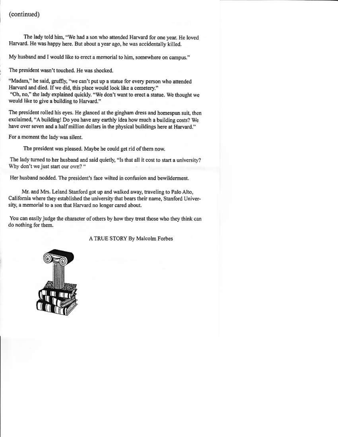## (continued)

The lady told him, "We had a son who attended Harvard for one year. He loved Harvard. He was happy here. But about a year ago, he was accidentally killed.

My husband and I would like to erect a memorial to him, somewhere on campus."

The president wasn't touched. He was shocked.

"Madam," he said, gruffly, "we can't put up a statue for every person who attended Harvard and died. If we did, this place would look like a cemetery."

"Oh, no," the lady explained quickly. "We don't want to erect a statue. We thought we would like to give a building to Harvard."

The president rolled his eyes. He glanced at the gingham dress and homespun suit, then exclaimed, "A building! Do you have any earthly idea how much a building costs? We have over seven and a half million dollars in the physical buildings here at Harvard."

For a moment the lady was silent.

The president was pleased. Maybe he could get rid of them now.

The lady turned to her husband and said quietly, "Is that all it cost to start a university? Why don't we just start our own? "

Her husband nodded. The president's face wilted in confusion and bewilderment.

Mr. and Mrs. Leland Stanford got up and walked away, traveling to Palo Alto, California where they established the university that bears their name, Stanford University, a memorial to a son that Harvard no longer cared about.

You can easily judge the character of others by how they treat those who they think can do nothing for them.

A TRUE STORY By Malcolm Forbes